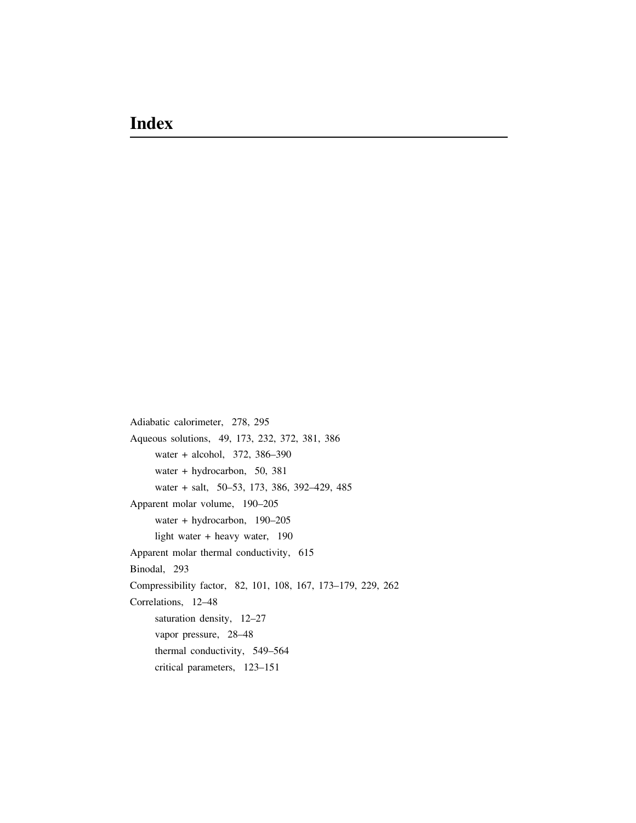Adiabatic calorimeter, 278, 295 Aqueous solutions, 49, 173, 232, 372, 381, 386 water + alcohol, 372, 386–390 water + hydrocarbon, 50, 381 water + salt, 50–53, 173, 386, 392–429, 485 Apparent molar volume, 190–205 water + hydrocarbon, 190–205 light water + heavy water, 190 Apparent molar thermal conductivity, 615 Binodal, 293 Compressibility factor, 82, 101, 108, 167, 173–179, 229, 262 Correlations, 12–48 saturation density, 12–27 vapor pressure, 28–48 thermal conductivity, 549–564 critical parameters, 123–151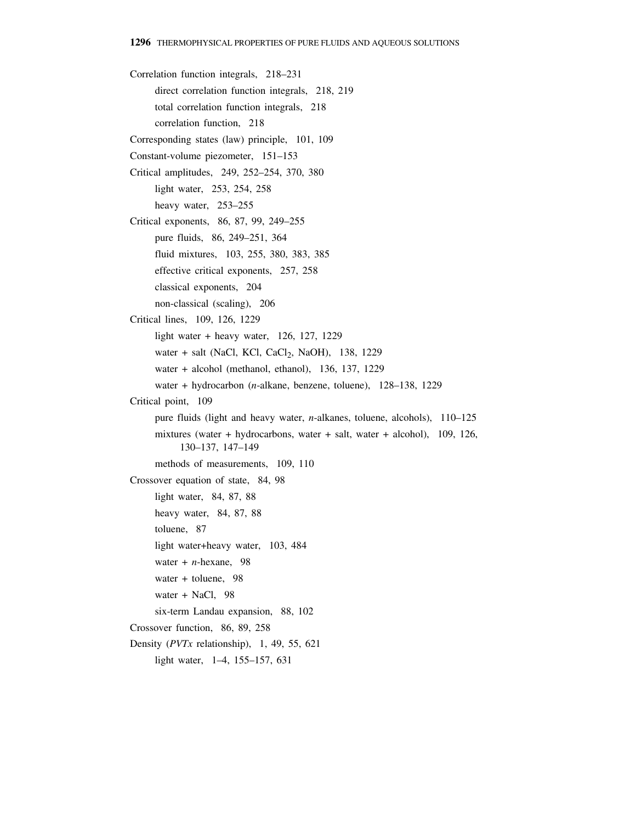Correlation function integrals, 218–231 direct correlation function integrals, 218, 219 total correlation function integrals, 218 correlation function, 218 Corresponding states (law) principle, 101, 109 Constant-volume piezometer, 151–153 Critical amplitudes, 249, 252–254, 370, 380 light water, 253, 254, 258 heavy water, 253–255 Critical exponents, 86, 87, 99, 249–255 pure fluids, 86, 249–251, 364 fluid mixtures, 103, 255, 380, 383, 385 effective critical exponents, 257, 258 classical exponents, 204 non-classical (scaling), 206 Critical lines, 109, 126, 1229 light water + heavy water, 126, 127, 1229 water + salt (NaCl, KCl, CaCl<sub>2</sub>, NaOH), 138, 1229 water + alcohol (methanol, ethanol), 136, 137, 1229 water + hydrocarbon (*n*-alkane, benzene, toluene), 128–138, 1229 Critical point, 109 pure fluids (light and heavy water, *n*-alkanes, toluene, alcohols), 110–125 mixtures (water + hydrocarbons, water + salt, water + alcohol), 109, 126, 130–137, 147–149 methods of measurements, 109, 110 Crossover equation of state, 84, 98 light water, 84, 87, 88 heavy water, 84, 87, 88 toluene, 87 light water+heavy water, 103, 484 water + *n*-hexane, 98 water + toluene, 98 water + NaCl, 98 six-term Landau expansion, 88, 102 Crossover function, 86, 89, 258 Density (*PVTx* relationship), 1, 49, 55, 621 light water, 1–4, 155–157, 631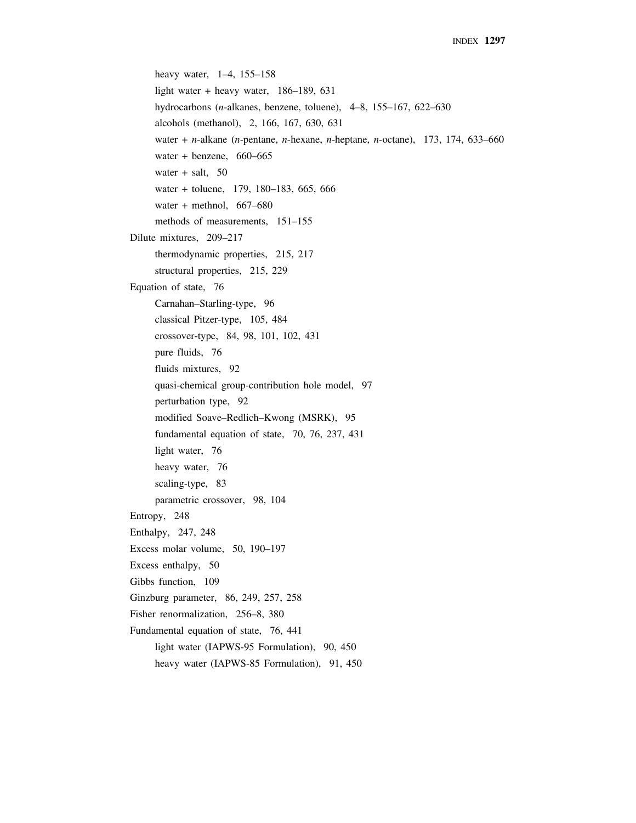```
heavy water, 1–4, 155–158
     light water + heavy water, 186–189, 631
     hydrocarbons (n-alkanes, benzene, toluene), 4–8, 155–167, 622–630
     alcohols (methanol), 2, 166, 167, 630, 631
     water + n-alkane (n-pentane, n-hexane, n-heptane, n-octane), 173, 174, 633–660
     water + benzene, 660–665
     water + salt, 50water + toluene, 179, 180–183, 665, 666
     water + methnol, 667–680
     methods of measurements, 151–155
Dilute mixtures, 209–217
     thermodynamic properties, 215, 217
     structural properties, 215, 229
Equation of state, 76
     Carnahan–Starling-type, 96
     classical Pitzer-type, 105, 484
     crossover-type, 84, 98, 101, 102, 431 
     pure fluids, 76
     fluids mixtures, 92
     quasi-chemical group-contribution hole model, 97
     perturbation type, 92
     modified Soave–Redlich–Kwong (MSRK), 95
     fundamental equation of state, 70, 76, 237, 431
     light water, 76
     heavy water, 76
     scaling-type, 83
     parametric crossover, 98, 104
Entropy, 248
Enthalpy, 247, 248
Excess molar volume, 50, 190–197
Excess enthalpy, 50
Gibbs function, 109
Ginzburg parameter, 86, 249, 257, 258
Fisher renormalization, 256–8, 380
Fundamental equation of state, 76, 441
     light water (IAPWS-95 Formulation), 90, 450
     heavy water (IAPWS-85 Formulation), 91, 450
```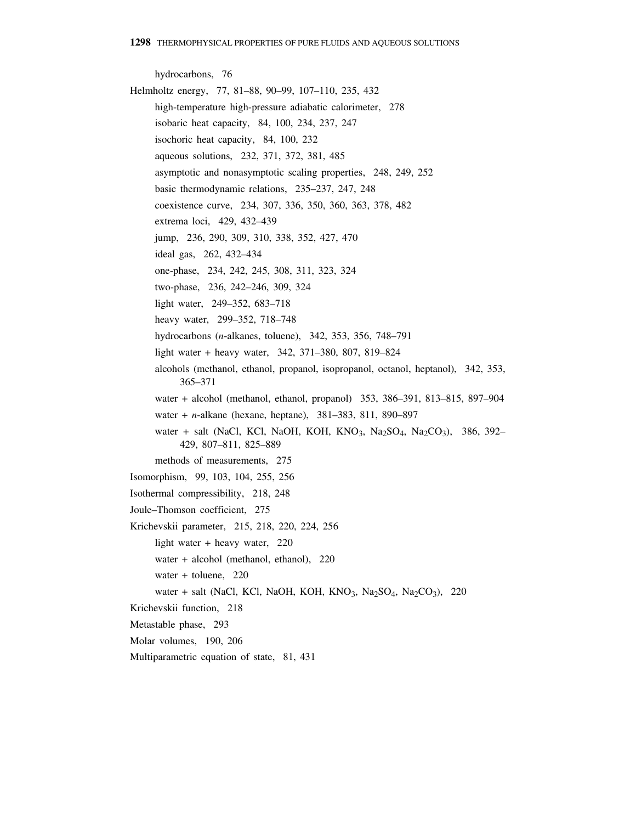hydrocarbons, 76 Helmholtz energy, 77, 81–88, 90–99, 107–110, 235, 432 high-temperature high-pressure adiabatic calorimeter, 278 isobaric heat capacity, 84, 100, 234, 237, 247 isochoric heat capacity, 84, 100, 232 aqueous solutions, 232, 371, 372, 381, 485 asymptotic and nonasymptotic scaling properties, 248, 249, 252 basic thermodynamic relations, 235–237, 247, 248 coexistence curve, 234, 307, 336, 350, 360, 363, 378, 482 extrema loci, 429, 432–439 jump, 236, 290, 309, 310, 338, 352, 427, 470 ideal gas, 262, 432–434 one-phase, 234, 242, 245, 308, 311, 323, 324 two-phase, 236, 242–246, 309, 324 light water, 249–352, 683–718 heavy water, 299–352, 718–748 hydrocarbons (*n*-alkanes, toluene), 342, 353, 356, 748–791 light water + heavy water, 342, 371–380, 807, 819–824 alcohols (methanol, ethanol, propanol, isopropanol, octanol, heptanol), 342, 353, 365–371 water + alcohol (methanol, ethanol, propanol) 353, 386–391, 813–815, 897–904 water + *n*-alkane (hexane, heptane), 381–383, 811, 890–897 water + salt (NaCl, KCl, NaOH, KOH, KNO<sub>3</sub>, Na<sub>2</sub>SO<sub>4</sub>, Na<sub>2</sub>CO<sub>3</sub>), 386, 392– 429, 807–811, 825–889 methods of measurements, 275 Isomorphism, 99, 103, 104, 255, 256 Isothermal compressibility, 218, 248 Joule–Thomson coefficient, 275 Krichevskii parameter, 215, 218, 220, 224, 256 light water + heavy water, 220 water + alcohol (methanol, ethanol), 220 water + toluene, 220 water + salt (NaCl, KCl, NaOH, KOH, KNO<sub>3</sub>, Na<sub>2</sub>SO<sub>4</sub>, Na<sub>2</sub>CO<sub>3</sub>), 220 Krichevskii function, 218 Metastable phase, 293 Molar volumes, 190, 206 Multiparametric equation of state, 81, 431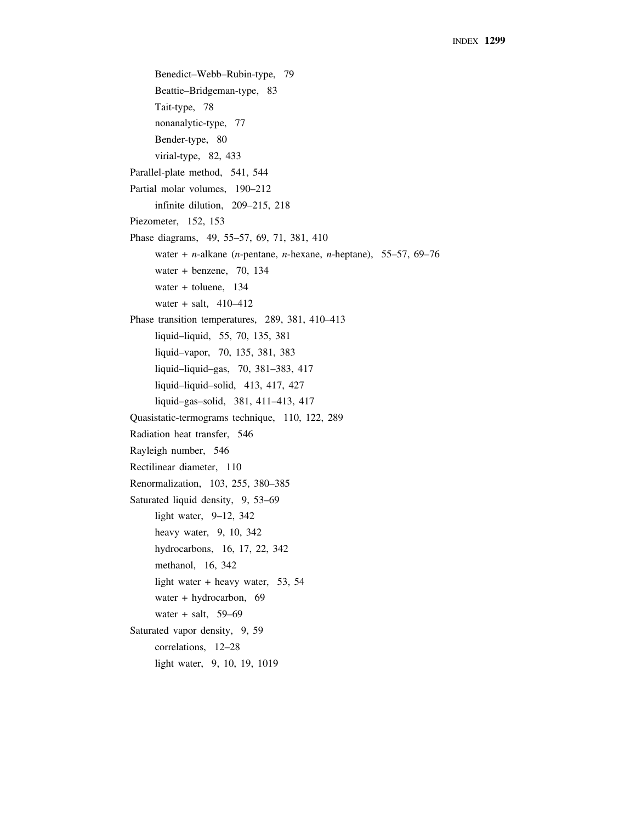Benedict–Webb–Rubin-type, 79 Beattie–Bridgeman-type, 83 Tait-type, 78 nonanalytic-type, 77 Bender-type, 80 virial-type, 82, 433 Parallel-plate method, 541, 544 Partial molar volumes, 190–212 infinite dilution, 209–215, 218 Piezometer, 152, 153 Phase diagrams, 49, 55–57, 69, 71, 381, 410 water + *n*-alkane (*n*-pentane, *n*-hexane, *n*-heptane), 55–57, 69–76 water + benzene, 70, 134 water + toluene, 134 water + salt, 410–412 Phase transition temperatures, 289, 381, 410–413 liquid–liquid, 55, 70, 135, 381 liquid–vapor, 70, 135, 381, 383 liquid–liquid–gas, 70, 381–383, 417 liquid–liquid–solid, 413, 417, 427 liquid–gas–solid, 381, 411–413, 417 Quasistatic-termograms technique, 110, 122, 289 Radiation heat transfer, 546 Rayleigh number, 546 Rectilinear diameter, 110 Renormalization, 103, 255, 380–385 Saturated liquid density, 9, 53–69 light water, 9–12, 342 heavy water, 9, 10, 342 hydrocarbons, 16, 17, 22, 342 methanol, 16, 342 light water + heavy water, 53, 54 water + hydrocarbon, 69 water + salt,  $59-69$ Saturated vapor density, 9, 59 correlations, 12–28 light water, 9, 10, 19, 1019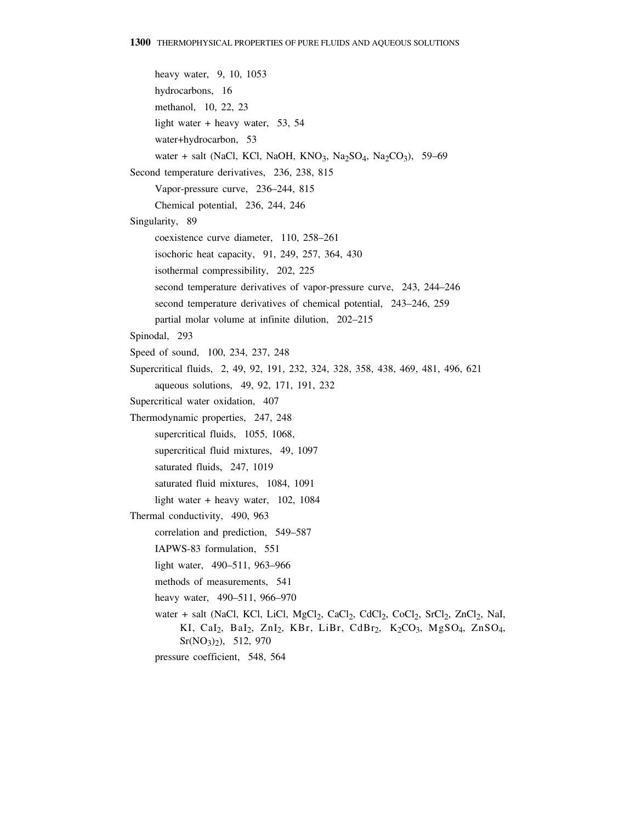heavy water, 9, 10, 1053 hydrocarbons, 16 methanol, 10, 22, 23 light water + heavy water, 53, 54 water+hydrocarbon, 53 water + salt (NaCl, KCl, NaOH, KNO3, Na2SO4, Na2CO3), 59-69 Second temperature derivatives, 236, 238, 815 Vapor-pressure curve, 236–244, 815 Chemical potential, 236, 244, 246 Singularity, 89 coexistence curve diameter, 110, 258–261 isochoric heat capacity, 91, 249, 257, 364, 430 isothermal compressibility, 202, 225 second temperature derivatives of vapor-pressure curve, 243, 244–246 second temperature derivatives of chemical potential, 243–246, 259 partial molar volume at infinite dilution, 202–215 Spinodal, 293 Speed of sound, 100, 234, 237, 248 Supercritical fluids, 2, 49, 92, 191, 232, 324, 328, 358, 438, 469, 481, 496, 621 aqueous solutions, 49, 92, 171, 191, 232 Supercritical water oxidation, 407 Thermodynamic properties, 247, 248 supercritical fluids, 1055, 1068, supercritical fluid mixtures, 49, 1097 saturated fluids, 247, 1019 saturated fluid mixtures, 1084, 1091 light water + heavy water, 102, 1084 Thermal conductivity, 490, 963 correlation and prediction, 549–587 IAPWS-83 formulation, 551 light water, 490–511, 963–966 methods of measurements, 541 heavy water, 490–511, 966–970 water + salt (NaCl, KCl, LiCl, MgCl<sub>2</sub>, CaCl<sub>2</sub>, CdCl<sub>2</sub>, CoCl<sub>2</sub>, SrCl<sub>2</sub>, ZnCl<sub>2</sub>, NaI, KI, CaI<sub>2</sub>, BaI<sub>2</sub>, ZnI<sub>2</sub>, KBr, LiBr, CdBr<sub>2</sub>, K<sub>2</sub>CO<sub>3</sub>, MgSO<sub>4</sub>, ZnSO<sub>4</sub>, Sr(NO3)2), 512, 970 pressure coefficient, 548, 564